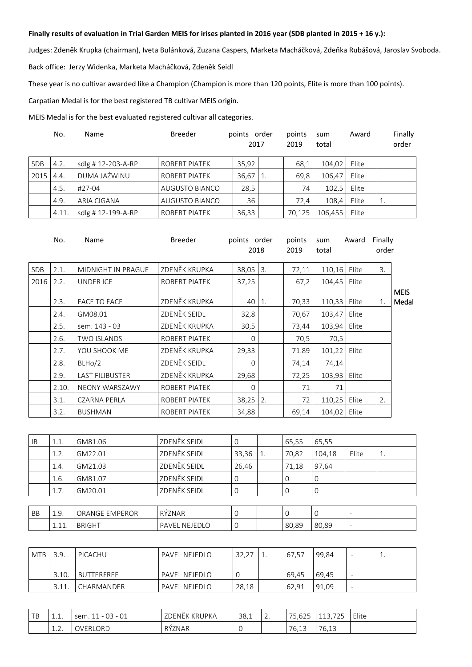## **Finally results of evaluation in Trial Garden MEIS for irises planted in 2016 year (SDB planted in 2015 + 16 y.):**

Judges: Zdeněk Krupka (chairman), Iveta Bulánková, Zuzana Caspers, Marketa Macháčková, Zdeňka Rubášová, Jaroslav Svoboda. Back office: Jerzy Widenka, Marketa Macháčková, Zdeněk Seidl

These year is no cultivar awarded like a Champion (Champion is more than 120 points, Elite is more than 100 points).

Carpatian Medal is for the best registered TB cultivar MEIS origin.

MEIS Medal is for the best evaluated registered cultivar all categories.

|            | No.   | Name              | <b>Breeder</b>       | points order<br>2017 |    | points<br>2019 | sum<br>total | Award | Finally<br>order |
|------------|-------|-------------------|----------------------|----------------------|----|----------------|--------------|-------|------------------|
| <b>SDB</b> | 4.2.  | sdlg #12-203-A-RP | <b>ROBERT PIATEK</b> | 35.92                |    | 68.1           | 104.02       | Elite |                  |
| 2015       | 4.4.  | DUMA JAŹWINU      | <b>ROBERT PIATEK</b> | 36,67                | 1. | 69,8           | 106.47       | Elite |                  |
|            | 4.5.  | #27-04            | AUGUSTO BIANCO       | 28,5                 |    | 74             | 102,5        | Elite |                  |
|            | 4.9.  | ARIA CIGANA       | AUGUSTO BIANCO       | 36                   |    | 72,4           | 108.4        | Elite | 1.               |
|            | 4.11. | sdlg #12-199-A-RP | <b>ROBERT PIATEK</b> | 36,33                |    | 70.125         | 106,455      | Elite |                  |

|      | No.   | Name                   | Breeder       | points order<br>2018 |                  | points<br>2019 | sum<br>total   | Award | Finally<br>order |                      |
|------|-------|------------------------|---------------|----------------------|------------------|----------------|----------------|-------|------------------|----------------------|
| SDB  | 2.1.  | MIDNIGHT IN PRAGUE     | ZDENĚK KRUPKA | 38,05                | $\overline{3}$ . | 72,11          | 110,16         | Elite | 3.               |                      |
| 2016 | 2.2.  | <b>UNDER ICE</b>       | ROBERT PIATEK | 37,25                |                  | 67,2           | 104,45         | Elite |                  |                      |
|      | 2.3.  | <b>FACE TO FACE</b>    | ZDENĚK KRUPKA | 40                   | 1.               | 70,33          | 110,33         | Elite | $\mathbf{1}$ .   | <b>MEIS</b><br>Medal |
|      | 2.4.  | GM08.01                | ZDENĚK SEIDL  | 32,8                 |                  | 70,67          | 103,47         | Elite |                  |                      |
|      | 2.5.  | sem. 143 - 03          | ZDENĚK KRUPKA | 30,5                 |                  | 73,44          | 103,94         | Elite |                  |                      |
|      | 2.6.  | <b>TWO ISLANDS</b>     | ROBERT PIATEK | $\Omega$             |                  | 70,5           | 70,5           |       |                  |                      |
|      | 2.7.  | YOU SHOOK ME           | ZDENĚK KRUPKA | 29,33                |                  | 71.89          | 101,22 Elite   |       |                  |                      |
|      | 2.8.  | BLHo/2                 | ZDENĚK SEIDL  | $\Omega$             |                  | 74,14          | 74,14          |       |                  |                      |
|      | 2.9.  | <b>LAST FILIBUSTER</b> | ZDENĚK KRUPKA | 29,68                |                  | 72,25          | 103,93   Elite |       |                  |                      |
|      | 2.10. | NEONY WARSZAWY         | ROBERT PIATEK | $\Omega$             |                  | 71             | 71             |       |                  |                      |
|      | 3.1.  | <b>CZARNA PERLA</b>    | ROBERT PIATEK | 38,25                | 2.               | 72             | 110,25         | Elite | 2.               |                      |
|      | 3.2.  | <b>BUSHMAN</b>         | ROBERT PIATEK | 34,88                |                  | 69,14          | 104,02         | Elite |                  |                      |

| <b>IB</b> | 1.1.           | GM81.06        | ZDENĚK SEIDL | 0     | 65,55 | 65,55  |       |    |
|-----------|----------------|----------------|--------------|-------|-------|--------|-------|----|
|           | 1.2.           | GM22.01        | ZDENĚK SEIDL | 33,36 | 70,82 | 104,18 | Elite | 1. |
|           | 1.4.           | GM21.03        | ZDENĚK SEIDL | 26,46 | 71,18 | 97,64  |       |    |
|           | 1.6.           | GM81.07        | ZDENĚK SEIDL |       |       |        |       |    |
|           | 1.7.           | GM20.01        | ZDENĚK SEIDL |       |       |        |       |    |
|           |                |                |              |       |       |        |       |    |
| DD.       | 1 <sub>0</sub> | ODANCE EMPEROD | DÝZNIA D     |       |       |        |       |    |

| BB | ∸.∽                   | <b>EMPEROR</b><br>ORANGE | RÝZNAR                               |  |       |       | - |  |
|----|-----------------------|--------------------------|--------------------------------------|--|-------|-------|---|--|
|    | $\sim$<br><u>+.++</u> | <b>BRIGHT</b>            | <b>NEIEDI</b><br>DAVE.<br>$\sqrt{2}$ |  | 80.89 | 80.89 | - |  |

| <b>MTB</b> | 3.9.  | PICACHU    | PAVEL NEJEDLO        | っっ<br>コつ | 工. | 67,57 | 99,84 | $\overline{\phantom{a}}$ | <u>ــ</u> |
|------------|-------|------------|----------------------|----------|----|-------|-------|--------------------------|-----------|
|            | 3.10. | BUTTERFREE | PAVEL NEJEDLO        |          |    | 69.45 | 69.45 | $\overline{\phantom{a}}$ |           |
|            | 3.11. | CHARMANDER | <b>PAVEL NEJEDLO</b> | 28,18    |    | 62.91 | 91.09 | $\overline{\phantom{0}}$ |           |

| $\pm$ p<br>ـ ب | $\overline{a}$<br>. | $\cap$<br>$\sim$<br>sem.<br>$\sim$<br>$-$<br>$\overline{\phantom{0}}$<br>UÏ | ZDENĚK KRUPKA | 38,1 | $\overline{\phantom{a}}$<br><u>.</u> | $\overline{\phantom{a}}$<br>$\sim$ $\sim$ $\sim$<br>כגס.כ׳ | $\neg \neg \neg$<br>$\sim$<br>بے<br>. | Elite<br>.               |  |
|----------------|---------------------|-----------------------------------------------------------------------------|---------------|------|--------------------------------------|------------------------------------------------------------|---------------------------------------|--------------------------|--|
|                | <b>1.L.</b>         | OVERLORD                                                                    | RYZNAR        |      |                                      | 76.13                                                      | 70.12<br>$\sqrt{2}$<br>ب⊥, ∪          | $\overline{\phantom{0}}$ |  |